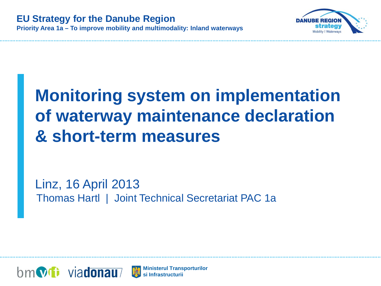

# **Monitoring system on implementation of waterway maintenance declaration & short-term measures**

Linz, 16 April 2013 Thomas Hartl | Joint Technical Secretariat PAC 1a



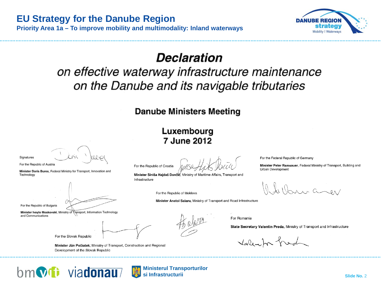



### Declaration

### on effective waterway infrastructure maintenance on the Danube and its navigable tributaries

#### **Danube Ministers Meeting**

#### Luxembourg 7 June 2012

Signatures

For the Republic of Austria

Minister Doris Bures, Federal Ministry for Transport, Innovation and Technology

For the Republic of Bulgaria

Minister Ivaylo Moskovski, Ministry of Transport, Information Technology and Communications

For the Slovak Republic

For the Republic of Croatia

Minister Siniša Haidaš Dončić, Ministry of Maritime Affairs. Transport and Infrastructure

buraner

Minister Peter Ramsauer, Federal Ministry of Transport, Building and

For the Republic of Moldova

Minister Anatol Salaru, Ministry of Transport and Road Infrastructure

For Romania

State Secretary Valentin Preda, Ministry of Transport and Infrastructure

For the Federal Republic of Germany

**Urban Development** 

Valenter fred

Minister Ján Počiatek; Ministry of Transport, Construction and Regional Development of the Slovak Republic



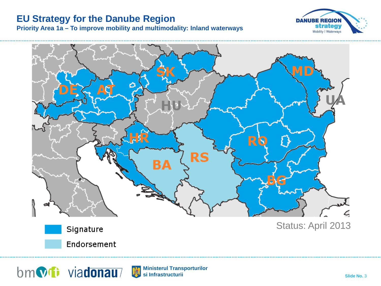#### **EU Strategy for the Danube Region**

**Priority Area 1a – To improve mobility and multimodality: Inland waterways**





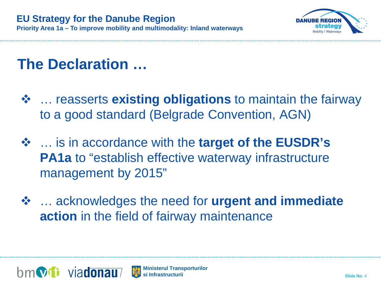

## **The Declaration …**

- … reasserts **existing obligations** to maintain the fairway to a good standard (Belgrade Convention, AGN)
- … is in accordance with the **target of the EUSDR's PA1a** to "establish effective waterway infrastructure management by 2015"
- … acknowledges the need for **urgent and immediate action** in the field of fairway maintenance



**Ministerul Transporturilor si Infrastructurii**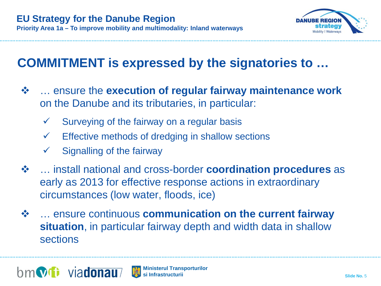

### **COMMITMENT is expressed by the signatories to …**

- … ensure the **execution of regular fairway maintenance work** on the Danube and its tributaries, in particular:
	- $\checkmark$  Surveying of the fairway on a regular basis
	- Effective methods of dredging in shallow sections
	- Signalling of the fairway
- … install national and cross-border **coordination procedures** as early as 2013 for effective response actions in extraordinary circumstances (low water, floods, ice)
- … ensure continuous **communication on the current fairway situation**, in particular fairway depth and width data in shallow sections



**Ministerul Transporturilor si Infrastructurii**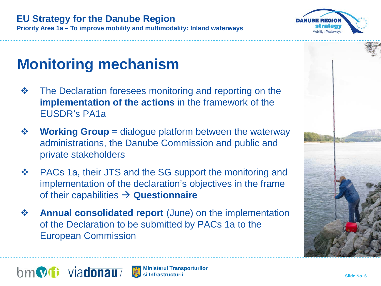

### **EU Strategy for the Danube Region**

**Priority Area 1a – To improve mobility and multimodality: Inland waterways**

# **Monitoring mechanism**

- $\triangle$  **The Declaration foresees monitoring and reporting on the implementation of the actions** in the framework of the EUSDR's PA1a
- **Ex÷ Working Group** = dialogue platform between the waterway administrations, the Danube Commission and public and private stakeholders
- ❖ PACs 1a, their JTS and the SG support the monitoring and implementation of the declaration's objectives in the frame of their capabilities **Questionnaire**
- **Annual consolidated report** (June) on the implementation of the Declaration to be submitted by PACs 1a to the European Commission



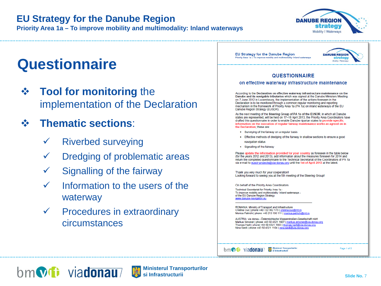#### **EU Strategy for the Danube Region**

**Priority Area 1a – To improve mobility and multimodality: Inland waterways**



## **Questionnaire**

**❖** Tool for monitoring the implementation of the Declaration

### **Thematic sections**:

- Riverbed surveying
- Dredging of problematic areas
- Signalling of the fairway
- Information to the users of the waterway
- $\checkmark$  Procedures in extraordinary circumstances

**EU Strategy for the Danube Region DANUBE REGION** Priority Area 1a - To improve mobility and multimodality: Inland waterways **strategy** Mobility | Wate **QUESTIONNAIRE** on effective waterway infrastructure maintenance According to the Declaration on effective waterway infrastructure maintenance on the Danube and its navigable tributaries which was signed at the Danube Ministers Meeting on 7 June 2012 in Luxembourg, the implementation of the actions foreseen in the Declaration is to be monitored through a common regular monitoring and reporting mechanism in the framework of Priority Area 1a (PA 1a) on inland waterways of the EU Danube Region Strategy (EUSDR). As the next meeting of the Steering Group of PA 1a of the EUSDR, in which all Danube states are represented, will be held on 17-18 April 2013, the Priority Area Coordinators have drafted this questionnaire in order to enable Danube riparian states to provide specific information on the execution of regular fairway maintenance works as agreed on in the Declaration: these are: • Surveying of the fairway on a regular basis • Effective methods of dredging of the fairway in shallow sections to ensure a good navigation status • Signalling of the fairway Please update the information provided for your country as foreseen in the table below (for the years 2012 and 2013), add information about the measures foreseen for 2014 and return the completed questionnaire to the Technical Secretariat of the Coordinators of PA 1a via e-mail to eusdr-projects@via-donau.org until the 1st of April 2013 at the latest. Thank you very much for your cooperation! Looking forward to seeing you at the 5th meeting of the Steering Group! On behalf of the Priority Area Coordinators Technical Secretariat for Priority Area 1a -To improve mobility and multimodality: Inland waterways of the EU Danube Region Strategy www.danube-navigation.eu ROMANIA: Ministry of Transport and Infrastructure Cristina Cuc | phone +40 722 362 173 | cristina.cuc@mt.ro Monica Patrichi | phone +40 213 196 111 | monica.patrichi@mt.ro AUSTRIA: via donau - Österreichische Wasserstraßen-Gesellschaft mbH Markus Simoner | phone +43 50 4321 1607 | markus.simoner@via-donau.org Thomas Hartl | phone +43 50 4321 1603 | thomas.hartl@via-donau.org Nina Siedl | phone +43 50 4321 1104 | nina.siedl@via-donau.org

**Ministerul Transporturile** bm**W**ii viadonau/

Page 1 of 5



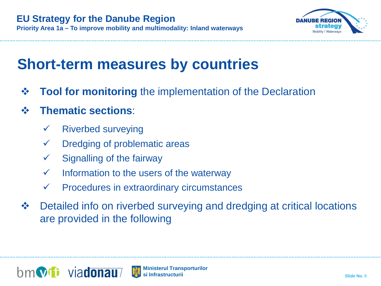

## **Short-term measures by countries**

- **❖ Tool for monitoring** the implementation of the Declaration
- **Thematic sections**:
	- Riverbed surveying
	- Dredging of problematic areas
	- Signalling of the fairway
	- $\checkmark$  Information to the users of the waterway
	- Procedures in extraordinary circumstances
- **❖** Detailed info on riverbed surveying and dredging at critical locations are provided in the following

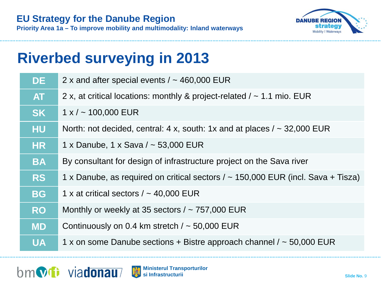

**Priority Area 1a – To improve mobility and multimodality: Inland waterways**

## **Riverbed surveying in 2013**

| <b>DE</b> | 2 x and after special events $/ \sim 460,000$ EUR                                     |
|-----------|---------------------------------------------------------------------------------------|
| <b>AT</b> | 2 x, at critical locations: monthly & project-related $/ \sim 1.1$ mio. EUR           |
| <b>SK</b> | $1 x / \sim 100,000$ EUR                                                              |
| <b>HU</b> | North: not decided, central: 4 x, south: 1x and at places $/ \sim 32,000$ EUR         |
| <b>HR</b> | 1 x Danube, 1 x Sava / ~ 53,000 EUR                                                   |
| <b>BA</b> | By consultant for design of infrastructure project on the Sava river                  |
| <b>RS</b> | 1 x Danube, as required on critical sectors $/ \sim 150,000$ EUR (incl. Sava + Tisza) |
| <b>BG</b> | 1 x at critical sectors $/ \sim 40,000$ EUR                                           |
| <b>RO</b> | Monthly or weekly at 35 sectors $/ \sim 757,000$ EUR                                  |
| <b>MD</b> | Continuously on 0.4 km stretch $/ \sim 50,000$ EUR                                    |
| <b>UA</b> | 1 x on some Danube sections + Bistre approach channel $/ \sim 50,000$ EUR             |



**Ministerul Transporturilor si Infrastructurii**